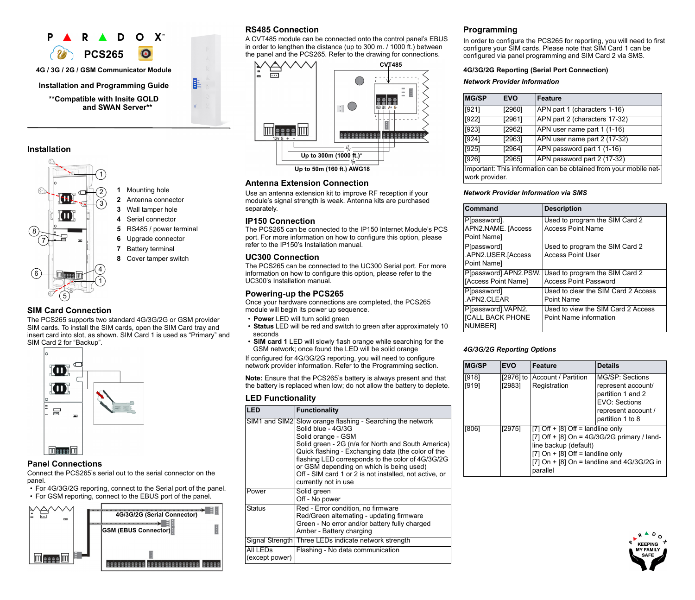

### **Installation**



### **SIM Card Connection**

The PCS265 supports two standard 4G/3G/2G or GSM provider SIM cards. To install the SIM cards, open the SIM Card tray and insert card into slot, as shown. SIM Card 1 is used as "Primary" and SIM Card 2 for "Backup".



# **Panel Connections**

Connect the PCS265's serial out to the serial connector on the panel.

- For 4G/3G/2G reporting, connect to the Serial port of the panel.
- For GSM reporting, connect to the EBUS port of the panel.



# **RS485 Connection**

A CVT485 module can be connected onto the control panel's EBUS in order to lengthen the distance (up to 300 m. / 1000 ft.) between the panel and the PCS265. Refer to the drawing for connections.



## **Antenna Extension Connection**

Use an antenna extension kit to improve RF reception if your module's signal strength is weak. Antenna kits are purchased separately.

### **IP150 Connection**

The PCS265 can be connected to the IP150 Internet Module's PCS port. For more information on how to configure this option, please refer to the IP150's Installation manual.

### **UC300 Connection**

The PCS265 can be connected to the UC300 Serial port. For more information on how to configure this option, please refer to the UC300's Installation manual.

## **Powering-up the PCS265**

Once your hardware connections are completed, the PCS265 module will begin its power up sequence.

- **Power** LED will turn solid green
- **Status** LED will be red and switch to green after approximately 10 seconds
- **SIM card 1** LED will slowly flash orange while searching for the GSM network; once found the LED will be solid orange

If configured for 4G/3G/2G reporting, you will need to configure network provider information. Refer to the Programming section.

**Note:** Ensure that the PCS265's battery is always present and that the battery is replaced when low; do not allow the battery to deplete.

### **LED Functionality**

| I FD                                   | <b>Functionality</b>                                                                                                                                                                                                                                                                                                                                                                                  |
|----------------------------------------|-------------------------------------------------------------------------------------------------------------------------------------------------------------------------------------------------------------------------------------------------------------------------------------------------------------------------------------------------------------------------------------------------------|
|                                        | SIM1 and SIM2 Slow orange flashing - Searching the network<br>Solid blue - 4G/3G<br>Solid orange - GSM<br>Solid green - 2G (n/a for North and South America)<br>Quick flashing - Exchanging data (the color of the<br>flashing LED corresponds to the color of 4G/3G/2G<br>or GSM depending on which is being used)<br>Off - SIM card 1 or 2 is not installed, not active, or<br>currently not in use |
| Power                                  | Solid green<br>Off - No power                                                                                                                                                                                                                                                                                                                                                                         |
| <b>Status</b>                          | Red - Error condition, no firmware<br>Red/Green alternating - updating firmware<br>Green - No error and/or battery fully charged<br>Amber - Battery charging                                                                                                                                                                                                                                          |
|                                        | Signal Strength Three LEDs indicate network strength                                                                                                                                                                                                                                                                                                                                                  |
| All LED <sub>s</sub><br>(except power) | Flashing - No data communication                                                                                                                                                                                                                                                                                                                                                                      |

## **Programming**

In order to configure the PCS265 for reporting, you will need to first configure your SIM cards. Please note that SIM Card 1 can be configured via panel programming and SIM Card 2 via SMS.

#### **4G/3G/2G Reporting (Serial Port Connection)**

*Network Provider Information*

| <b>MG/SP</b>                                                                        | <b>EVO</b>    | <b>Feature</b>                |
|-------------------------------------------------------------------------------------|---------------|-------------------------------|
| [921]                                                                               | [2960]        | APN part 1 (characters 1-16)  |
| [922]                                                                               | [2961]        | APN part 2 (characters 17-32) |
| [923]                                                                               | [2962]        | APN user name part 1 (1-16)   |
| [924]                                                                               | [2963]        | APN user name part 2 (17-32)  |
| [925]                                                                               | $\sqrt{2964}$ | APN password part 1 (1-16)    |
| [926]                                                                               | [2965]        | APN password part 2 (17-32)   |
| Important: This information can be obtained from your mobile net-<br>work provider. |               |                               |

#### *Network Provider Information via SMS*

| Command                                                  | <b>Description</b>                                             |
|----------------------------------------------------------|----------------------------------------------------------------|
| P[password].<br>APN2.NAME. [Access<br>Point Name]        | Used to program the SIM Card 2<br><b>Access Point Name</b>     |
| P[password]<br>.APN2.USER.[Access<br>Point Name]         | Used to program the SIM Card 2<br><b>Access Point User</b>     |
| P[password].APN2.PSW.<br>[Access Point Name]             | Used to program the SIM Card 2<br><b>Access Point Password</b> |
| P[password]<br>.APN2.CLEAR                               | Used to clear the SIM Card 2 Access<br>Point Name              |
| P[password].VAPN2.<br><b>[CALL BACK PHONE</b><br>NUMBER] | Used to view the SIM Card 2 Access<br>Point Name information   |

### *4G/3G/2G Reporting Options*

| <b>MG/SP</b>   | <b>EVO</b>          | <b>Feature</b>                                                                                                                                                                                                  | <b>Details</b>                                                                                                         |
|----------------|---------------------|-----------------------------------------------------------------------------------------------------------------------------------------------------------------------------------------------------------------|------------------------------------------------------------------------------------------------------------------------|
| [918]<br>[919] | [2976] to<br>[2983] | Account / Partition<br>Registration                                                                                                                                                                             | MG/SP: Sections<br>represent account/<br>partition 1 and 2<br>EVO: Sections<br>represent account /<br>partition 1 to 8 |
| [806]          | [2975]              | [7] Off + [8] Off = landline only<br>[7] Off + [8] On = $4G/3G/2G$ primary / land-<br>line backup (default)<br>$[7]$ On + $[8]$ Off = landline only<br>[7] On $+$ [8] On = landline and 4G/3G/2G in<br>parallel |                                                                                                                        |